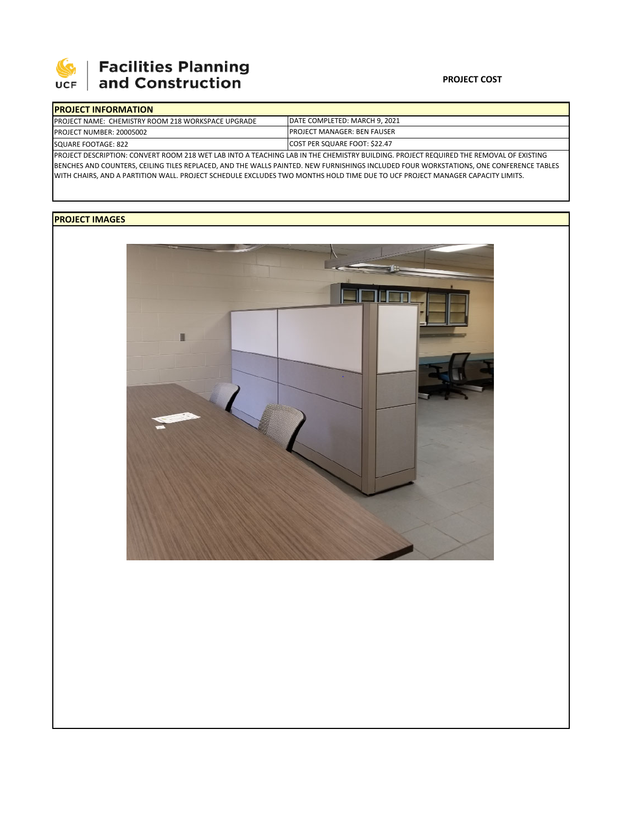

# **Facilities Planning**<br>and Construction

### **PROJECT COST**

| <b>IPROJECT INFORMATION</b>                                |                                                                                                                                        |  |  |  |
|------------------------------------------------------------|----------------------------------------------------------------------------------------------------------------------------------------|--|--|--|
| <b>IPROJECT NAME: CHEMISTRY ROOM 218 WORKSPACE UPGRADE</b> | DATE COMPLETED: MARCH 9, 2021                                                                                                          |  |  |  |
| <b>PROJECT NUMBER: 20005002</b>                            | <b>IPROJECT MANAGER: BEN FAUSER</b>                                                                                                    |  |  |  |
| SQUARE FOOTAGE: 822                                        | <b>COST PER SQUARE FOOT: \$22.47</b>                                                                                                   |  |  |  |
|                                                            | PROJECT DESCRIPTION: CONVERT ROOM 218 WET LAB INTO A TEACHING LAB IN THE CHEMISTRY BUILDING. PROJECT REQUIRED THE REMOVAL OF EXISTING  |  |  |  |
|                                                            | BENCHES AND COUNTERS, CEILING TILES REPLACED, AND THE WALLS PAINTED. NEW FURNISHINGS INCLUDED FOUR WORKSTATIONS, ONE CONFERENCE TABLES |  |  |  |

WITH CHAIRS, AND A PARTITION WALL. PROJECT SCHEDULE EXCLUDES TWO MONTHS HOLD TIME DUE TO UCF PROJECT MANAGER CAPACITY LIMITS.

## **PROJECT IMAGES**